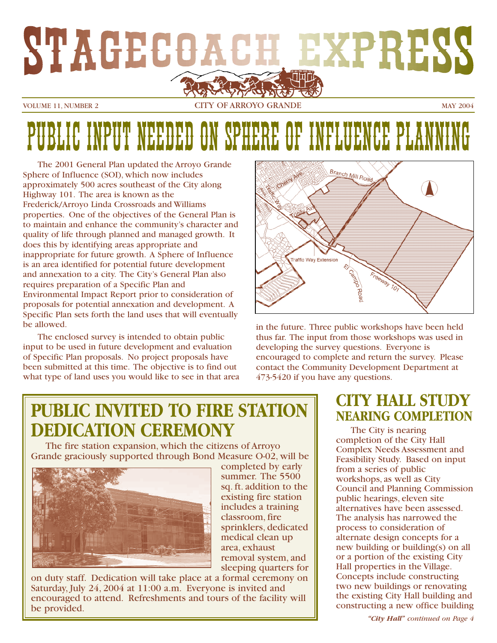

VOLUME 11, NUMBER 2 CITY OF ARROYO GRANDE MAY 2004

# ON SPHERE OF INFLUENCE PLA

The 2001 General Plan updated the Arroyo Grande Sphere of Influence (SOI), which now includes approximately 500 acres southeast of the City along Highway 101. The area is known as the Frederick/Arroyo Linda Crossroads and Williams properties. One of the objectives of the General Plan is to maintain and enhance the community's character and quality of life through planned and managed growth. It does this by identifying areas appropriate and inappropriate for future growth. A Sphere of Influence is an area identified for potential future development and annexation to a city. The City's General Plan also requires preparation of a Specific Plan and Environmental Impact Report prior to consideration of proposals for potential annexation and development. A Specific Plan sets forth the land uses that will eventually be allowed.

The enclosed survey is intended to obtain public input to be used in future development and evaluation of Specific Plan proposals. No project proposals have been submitted at this time. The objective is to find out what type of land uses you would like to see in that area



in the future. Three public workshops have been held thus far. The input from those workshops was used in developing the survey questions. Everyone is encouraged to complete and return the survey. Please contact the Community Development Department at 473-5420 if you have any questions.

### **PUBLIC INVITED TO FIRE STATION DEDICATION CEREMONY**

The fire station expansion, which the citizens of Arroyo Grande graciously supported through Bond Measure O-02, will be



completed by early summer. The 5500 sq. ft. addition to the existing fire station includes a training classroom, fire sprinklers, dedicated medical clean up area, exhaust removal system, and sleeping quarters for

on duty staff. Dedication will take place at a formal ceremony on Saturday, July 24, 2004 at 11:00 a.m. Everyone is invited and encouraged to attend. Refreshments and tours of the facility will be provided.

### **CITY HALL STUDY NEARING COMPLETION**

The City is nearing completion of the City Hall Complex Needs Assessment and Feasibility Study. Based on input from a series of public workshops, as well as City Council and Planning Commission public hearings, eleven site alternatives have been assessed. The analysis has narrowed the process to consideration of alternate design concepts for a new building or building(s) on all or a portion of the existing City Hall properties in the Village. Concepts include constructing two new buildings or renovating the existing City Hall building and constructing a new office building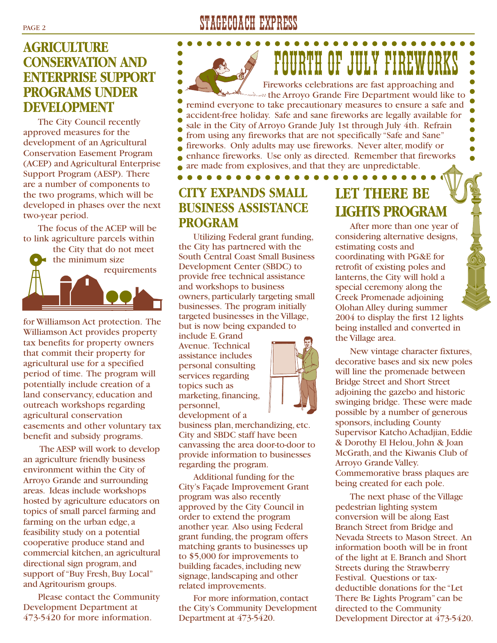### **AGRICULTURE CONSERVATION AND ENTERPRISE SUPPORT PROGRAMS UNDER DEVELOPMENT**

The City Council recently approved measures for the development of an Agricultural Conservation Easement Program (ACEP) and Agricultural Enterprise Support Program (AESP). There are a number of components to the two programs, which will be developed in phases over the next two-year period.

The focus of the ACEP will be to link agriculture parcels within

the City that do not meet the minimum size requirements

for Williamson Act protection. The Williamson Act provides property tax benefits for property owners that commit their property for agricultural use for a specified period of time. The program will potentially include creation of a land conservancy, education and outreach workshops regarding agricultural conservation easements and other voluntary tax benefit and subsidy programs.

The AESP will work to develop an agriculture friendly business environment within the City of Arroyo Grande and surrounding areas. Ideas include workshops hosted by agriculture educators on topics of small parcel farming and farming on the urban edge, a feasibility study on a potential cooperative produce stand and commercial kitchen, an agricultural directional sign program, and support of "Buy Fresh, Buy Local" and Agritourism groups.

Please contact the Community Development Department at 473-5420 for more information.

### PAGE 2 STAGECOACH EXPRESS

FORTH OF JULY FIREW(

Fireworks celebrations are fast approaching and Alleast the Arroyo Grande Fire Department would like to remind everyone to take precautionary measures to ensure a safe and accident-free holiday. Safe and sane fireworks are legally available for sale in the City of Arroyo Grande July 1st through July 4th. Refrain from using any fireworks that are not specifically "Safe and Sane" fireworks. Only adults may use fireworks. Never alter, modify or enhance fireworks. Use only as directed. Remember that fireworks ă are made from explosives, and that they are unpredictable.  $0 0 0 0 0 0 0 0 0 0 0 0$  $\bullet$   $\bullet$ 

### **CITY EXPANDS SMALL BUSINESS ASSISTANCE PROGRAM**

Utilizing Federal grant funding, the City has partnered with the South Central Coast Small Business Development Center (SBDC) to provide free technical assistance and workshops to business owners, particularly targeting small businesses. The program initially targeted businesses in the Village, but is now being expanded to

include E. Grand Avenue. Technical assistance includes personal consulting services regarding topics such as marketing, financing, personnel,

development of a

business plan, merchandizing, etc. City and SBDC staff have been canvassing the area door-to-door to provide information to businesses regarding the program.

Additional funding for the City's Façade Improvement Grant program was also recently approved by the City Council in order to extend the program another year. Also using Federal grant funding, the program offers matching grants to businesses up to \$5,000 for improvements to building facades, including new signage, landscaping and other related improvements.

For more information, contact the City's Community Development Department at 473-5420.

### **LET THERE BE LIGHTS PROGRAM**

After more than one year of considering alternative designs, estimating costs and coordinating with PG&E for retrofit of existing poles and lanterns, the City will hold a special ceremony along the Creek Promenade adjoining Olohan Alley during summer 2004 to display the first 12 lights being installed and converted in the Village area.

New vintage character fixtures, decorative bases and six new poles will line the promenade between Bridge Street and Short Street adjoining the gazebo and historic swinging bridge. These were made possible by a number of generous sponsors, including County Supervisor Katcho Achadjian, Eddie & Dorothy El Helou, John & Joan McGrath, and the Kiwanis Club of Arroyo Grande Valley. Commemorative brass plaques are being created for each pole.

The next phase of the Village pedestrian lighting system conversion will be along East Branch Street from Bridge and Nevada Streets to Mason Street. An information booth will be in front of the light at E. Branch and Short Streets during the Strawberry Festival. Questions or taxdeductible donations for the "Let There Be Lights Program"can be directed to the Community Development Director at 473-5420.

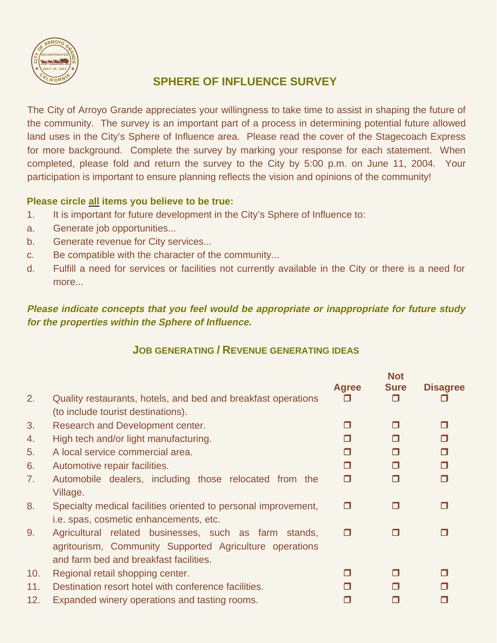

#### **SPHERE OF INFLUENCE SURVEY**

The City of Arroyo Grande appreciates your willingness to take time to assist in shaping the future of the community. The survey is an important part of a process in determining potential future allowed land uses in the City's Sphere of Influence area. Please read the cover of the Stagecoach Express for more background. Complete the survey by marking your response for each statement. When completed, please fold and return the survey to the City by 5:00 p.m. on June 11, 2004. Your participation is important to ensure planning reflects the vision and opinions of the community!

#### **Please circle all items you believe to be true:**

- 1. It is important for future development in the City's Sphere of Influence to:
- a. Generate job opportunities...
- b. Generate revenue for City services...
- c. Be compatible with the character of the community...
- d. Fulfill a need for services or facilities not currently available in the City or there is a need for more...

#### **Please indicate concepts that you feel would be appropriate or inappropriate for future study for the properties within the Sphere of Influence.**

#### **JOB GENERATING / REVENUE GENERATING IDEAS**

| 2.  | Quality restaurants, hotels, and bed and breakfast operations                                                                                              | <b>Agree</b><br>П | <b>Not</b><br><b>Sure</b><br>п | <b>Disagree</b> |
|-----|------------------------------------------------------------------------------------------------------------------------------------------------------------|-------------------|--------------------------------|-----------------|
|     | (to include tourist destinations).                                                                                                                         | П                 | п                              | $\Box$          |
| 3.  | Research and Development center.                                                                                                                           |                   |                                |                 |
| 4.  | High tech and/or light manufacturing.                                                                                                                      | п                 | ⊓                              | $\Box$          |
| 5.  | A local service commercial area.                                                                                                                           | ⊓                 | ⊓                              | $\Box$          |
| 6.  | Automotive repair facilities.                                                                                                                              | Π                 | Ω                              | $\Box$          |
| 7.  | Automobile dealers, including those relocated from the<br>Village.                                                                                         | Ο                 | Ω                              | $\Box$          |
| 8.  | Specialty medical facilities oriented to personal improvement,<br>i.e. spas, cosmetic enhancements, etc.                                                   | п                 | П                              | П               |
| 9.  | Agricultural related businesses, such as farm stands,<br>agritourism, Community Supported Agriculture operations<br>and farm bed and breakfast facilities. | $\Box$            | α                              |                 |
| 10. | Regional retail shopping center.                                                                                                                           | П                 | п                              | П               |
| 11. | Destination resort hotel with conference facilities.                                                                                                       | П                 | п                              |                 |
| 12. | Expanded winery operations and tasting rooms.                                                                                                              | П                 | П                              |                 |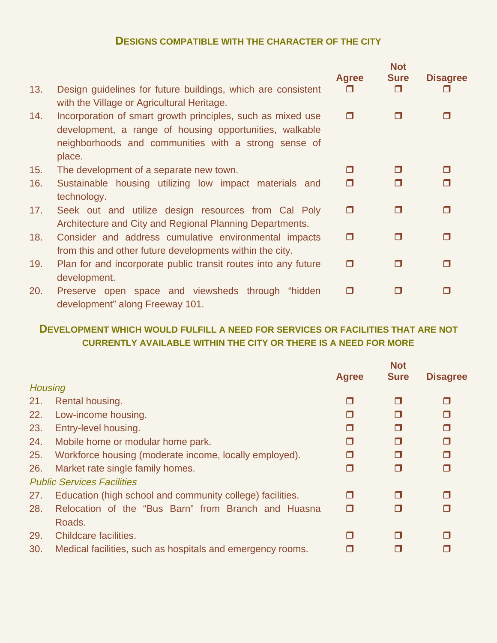#### **DESIGNS COMPATIBLE WITH THE CHARACTER OF THE CITY**

|     |                                                                                                                                                                                          | <b>Agree</b> | <b>Not</b><br><b>Sure</b> | <b>Disagree</b> |
|-----|------------------------------------------------------------------------------------------------------------------------------------------------------------------------------------------|--------------|---------------------------|-----------------|
| 13. | Design guidelines for future buildings, which are consistent<br>with the Village or Agricultural Heritage.                                                                               | П            | П                         |                 |
| 14. | Incorporation of smart growth principles, such as mixed use<br>development, a range of housing opportunities, walkable<br>neighborhoods and communities with a strong sense of<br>place. | Ο            | П                         |                 |
| 15. | The development of a separate new town.                                                                                                                                                  | П            | П                         |                 |
| 16. | Sustainable housing utilizing low impact materials and<br>technology.                                                                                                                    | $\Box$       | ⊓                         |                 |
| 17. | Seek out and utilize design resources from Cal Poly<br>Architecture and City and Regional Planning Departments.                                                                          | Ο            | П                         | П               |
| 18. | Consider and address cumulative environmental impacts<br>from this and other future developments within the city.                                                                        | П            | П                         | п               |
| 19. | Plan for and incorporate public transit routes into any future<br>development.                                                                                                           | П            | П                         | п               |
| 20. | Preserve open space and viewsheds through<br>"hidden<br>development" along Freeway 101.                                                                                                  | О            |                           |                 |

#### **DEVELOPMENT WHICH WOULD FULFILL A NEED FOR SERVICES OR FACILITIES THAT ARE NOT CURRENTLY AVAILABLE WITHIN THE CITY OR THERE IS A NEED FOR MORE**

|                |                                                            |              | <b>Not</b>  |                 |
|----------------|------------------------------------------------------------|--------------|-------------|-----------------|
|                |                                                            | <b>Agree</b> | <b>Sure</b> | <b>Disagree</b> |
| <b>Housing</b> |                                                            |              |             |                 |
| 21.            | Rental housing.                                            | П            | Ω           |                 |
| 22.            | Low-income housing.                                        | П            | Π           | П               |
| 23.            | Entry-level housing.                                       | П            | Π           | П               |
| 24.            | Mobile home or modular home park.                          | П            | Ω           | П               |
| 25.            | Workforce housing (moderate income, locally employed).     | Π            | σ           |                 |
| 26.            | Market rate single family homes.                           | П            | Ω           |                 |
|                | <b>Public Services Facilities</b>                          |              |             |                 |
| 27.            | Education (high school and community college) facilities.  | П            | Π           |                 |
| 28.            | Relocation of the "Bus Barn" from Branch and Huasna        | ⊓            | Π           |                 |
|                | Roads.                                                     |              |             |                 |
| 29.            | Childcare facilities.                                      | П            | $\Box$      |                 |
| 30.            | Medical facilities, such as hospitals and emergency rooms. | П            | П           |                 |
|                |                                                            |              |             |                 |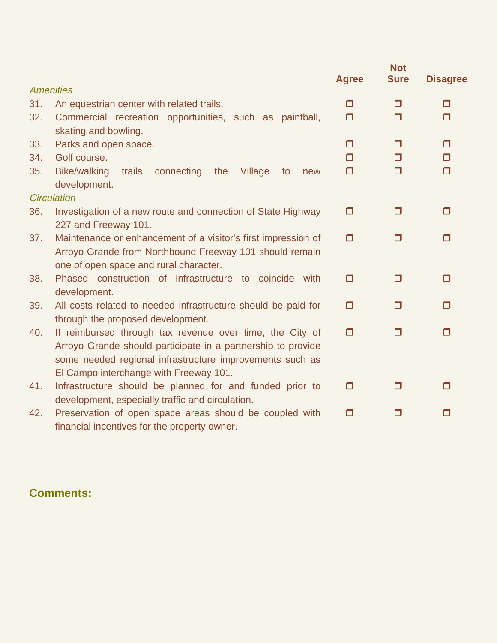|     |                                                                                                                                                                                                                           | <b>Agree</b> | <b>Not</b><br><b>Sure</b> | <b>Disagree</b> |
|-----|---------------------------------------------------------------------------------------------------------------------------------------------------------------------------------------------------------------------------|--------------|---------------------------|-----------------|
|     | <b>Amenities</b>                                                                                                                                                                                                          |              |                           |                 |
| 31. | An equestrian center with related trails.                                                                                                                                                                                 | $\Box$       | 0                         | $\Box$          |
| 32. | Commercial recreation opportunities, such as paintball,<br>skating and bowling.                                                                                                                                           | $\Box$       | Ο                         | $\Box$          |
| 33. | Parks and open space.                                                                                                                                                                                                     | $\Box$       | Ο                         | $\Box$          |
| 34. | Golf course.                                                                                                                                                                                                              | $\Box$       | Ο                         | $\Box$          |
| 35. | <b>Bike/walking</b><br>trails<br>connecting<br>the<br>Village<br>to<br>new<br>development.                                                                                                                                | $\Box$       | Ω                         | $\Box$          |
|     | <b>Circulation</b>                                                                                                                                                                                                        |              |                           |                 |
| 36. | Investigation of a new route and connection of State Highway<br>227 and Freeway 101.                                                                                                                                      | $\Box$       | Ο                         | $\Box$          |
| 37. | Maintenance or enhancement of a visitor's first impression of                                                                                                                                                             | $\Box$       | Ο                         | П               |
|     | Arroyo Grande from Northbound Freeway 101 should remain<br>one of open space and rural character.                                                                                                                         |              |                           |                 |
| 38. | Phased construction of infrastructure to coincide with<br>development.                                                                                                                                                    | $\Box$       | 0                         | П               |
| 39. | All costs related to needed infrastructure should be paid for                                                                                                                                                             | $\Box$       | Ο                         | $\Box$          |
| 40. | through the proposed development.<br>If reimbursed through tax revenue over time, the City of<br>Arroyo Grande should participate in a partnership to provide<br>some needed regional infrastructure improvements such as | $\Box$       | $\Box$                    | $\Box$          |
| 41. | El Campo interchange with Freeway 101.<br>Infrastructure should be planned for and funded prior to                                                                                                                        | $\Box$       | Ο                         | п               |
|     | development, especially traffic and circulation.                                                                                                                                                                          |              |                           |                 |
| 42. | Preservation of open space areas should be coupled with<br>financial incentives for the property owner.                                                                                                                   | $\Box$       | $\Box$                    | п               |

### **Comments:**

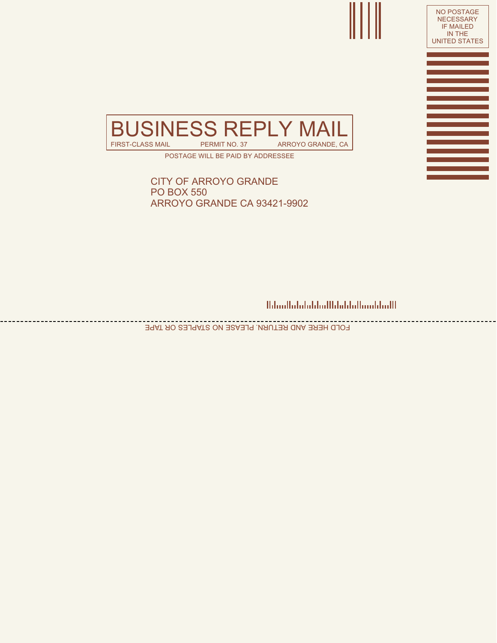



POSTAGE WILL BE PAID BY ADDRESSEE

CITY OF ARROYO GRANDE PO BOX 550 ARROYO GRANDE CA 93421-9902

<u>Mandhalalalalalllalalallaaddadll</u>

FOLD HERE AND RETURN. PLEASE NO STAPLES OR TAPE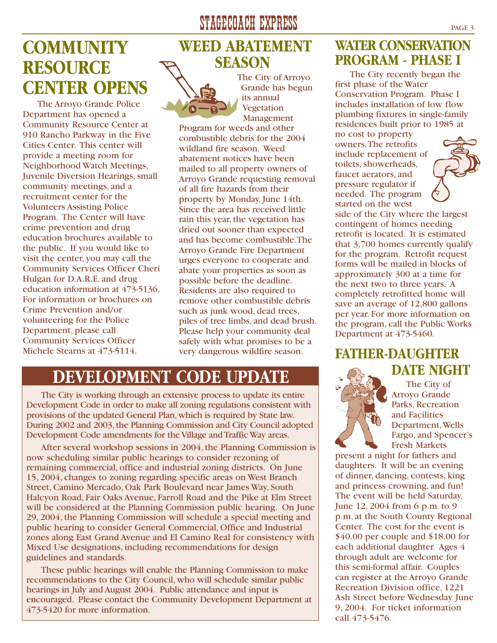### **COMMUNITY RESOURCE CENTER OPENS**

The Arroyo Grande Police Department has opened a Community Resource Center at 910 Rancho Parkway in the Five Cities Center. This center will provide a meeting room for Neighborhood Watch Meetings, Juvenile Diversion Hearings, small community meetings, and a recruitment center for the Volunteers Assisting Police Program. The Center will have crime prevention and drug education brochures available to the public. If you would like to visit the center, you may call the Community Services Officer Cheri Hulgan for D.A.R.E. and drug education information at 473-5136. For information or brochures on Crime Prevention and/or volunteering for the Police Department, please call Community Services Officer Michele Stearns at 473-5114.

### STAGECOACH EXPRESS PAGE 3

### **WEED ABATEMENT SEASON**



The City of Arroyo Grande has begun its annual Vegetation Management

Program for weeds and other combustible debris for the 2004 wildland fire season. Weed abatement notices have been mailed to all property owners of Arroyo Grande requesting removal of all fire hazards from their property by Monday, June 14th. Since the area has received little rain this year, the vegetation has dried out sooner than expected and has become combustible.The Arroyo Grande Fire Department urges everyone to cooperate and abate your properties as soon as possible before the deadline. Residents are also required to remove other combustible debris such as junk wood, dead trees, piles of tree limbs, and dead brush. Please help your community deal safely with what promises to be a very dangerous wildfire season.

### **DEVELOPMENT CODE UPDATE**

The City is working through an extensive process to update its entire Development Code in order to make all zoning regulations consistent with provisions of the updated General Plan,which is required by State law. During 2002 and 2003, the Planning Commission and City Council adopted Development Code amendments for the Village and Traffic Way areas.

After several workshop sessions in 2004, the Planning Commission is now scheduling similar public hearings to consider rezoning of remaining commercial, office and industrial zoning districts. On June 15, 2004, changes to zoning regarding specific areas on West Branch Street, Camino Mercado, Oak Park Boulevard near James Way, South Halcyon Road, Fair Oaks Avenue, Farroll Road and the Pike at Elm Street will be considered at the Planning Commission public hearing. On June 29, 2004, the Planning Commission will schedule a special meeting and public hearing to consider General Commercial, Office and Industrial zones along East Grand Avenue and El Camino Real for consistency with Mixed Use designations, including recommendations for design guidelines and standards.

These public hearings will enable the Planning Commission to make recommendations to the City Council, who will schedule similar public hearings in July and August 2004. Public attendance and input is encouraged. Please contact the Community Development Department at 473-5420 for more information.

### **WATER CONSERVATION PROGRAM - PHASE I**

The City recently began the first phase of the Water Conservation Program. Phase I includes installation of low flow plumbing fixtures in single-family residences built prior to 1985 at no cost to property

owners.The retrofits include replacement of toilets, showerheads, faucet aerators, and pressure regulator if needed. The program started on the west



side of the City where the largest contingent of homes needing retrofit is located. It is estimated that 3,700 homes currently qualify for the program. Retrofit request forms will be mailed in blocks of approximately 300 at a time for the next two to three years. A completely retrofitted home will save an average of 12,800 gallons per year. For more information on the program, call the Public Works Department at 473-5460.

### **FATHER-DAUGHTER DATE NIGHT**



The City of Arroyo Grande Parks, Recreation and Facilities Department,Wells Fargo, and Spencer's Fresh Markets

present a night for fathers and daughters. It will be an evening of dinner, dancing, contests, king and princess crowning, and fun! The event will be held Saturday, June 12, 2004 from 6 p.m. to 9 p.m. at the South County Regional Center. The cost for the event is \$40.00 per couple and \$18.00 for each additional daughter. Ages 4 through adult are welcome for this semi-formal affair. Couples can register at the Arroyo Grande Recreation Division office, 1221 Ash Street before Wednesday June 9, 2004. For ticket information call 473-5476.